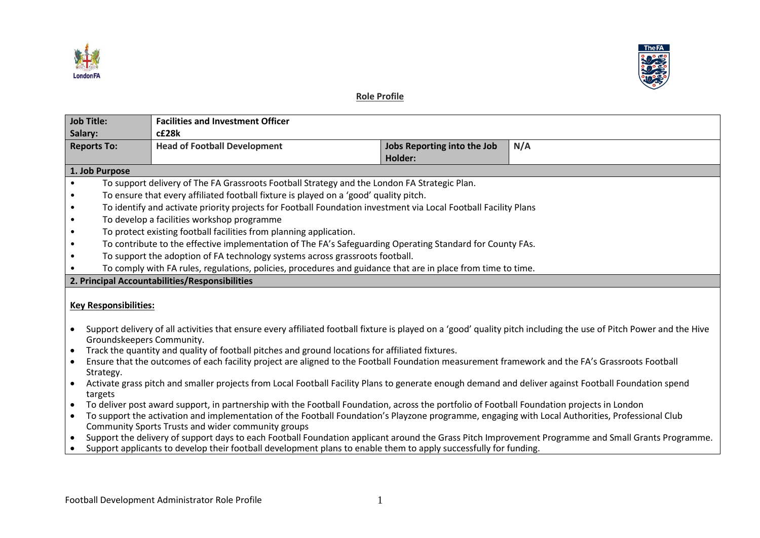



# **Role Profile**

| <b>Job Title:</b>                              |                                                                                                                                                                                                 | <b>Facilities and Investment Officer</b>                                                                                                                                                                                                                                |                                               |  |  |  |
|------------------------------------------------|-------------------------------------------------------------------------------------------------------------------------------------------------------------------------------------------------|-------------------------------------------------------------------------------------------------------------------------------------------------------------------------------------------------------------------------------------------------------------------------|-----------------------------------------------|--|--|--|
| Salary:<br><b>Reports To:</b>                  |                                                                                                                                                                                                 | c£28k<br>N/A                                                                                                                                                                                                                                                            |                                               |  |  |  |
|                                                |                                                                                                                                                                                                 | <b>Head of Football Development</b>                                                                                                                                                                                                                                     | Jobs Reporting into the Job<br><b>Holder:</b> |  |  |  |
|                                                | 1. Job Purpose                                                                                                                                                                                  |                                                                                                                                                                                                                                                                         |                                               |  |  |  |
|                                                | To support delivery of The FA Grassroots Football Strategy and the London FA Strategic Plan.                                                                                                    |                                                                                                                                                                                                                                                                         |                                               |  |  |  |
| $\bullet$                                      | To ensure that every affiliated football fixture is played on a 'good' quality pitch.                                                                                                           |                                                                                                                                                                                                                                                                         |                                               |  |  |  |
| $\bullet$                                      | To identify and activate priority projects for Football Foundation investment via Local Football Facility Plans                                                                                 |                                                                                                                                                                                                                                                                         |                                               |  |  |  |
| $\bullet$                                      | To develop a facilities workshop programme                                                                                                                                                      |                                                                                                                                                                                                                                                                         |                                               |  |  |  |
| $\bullet$                                      | To protect existing football facilities from planning application.                                                                                                                              |                                                                                                                                                                                                                                                                         |                                               |  |  |  |
| $\bullet$                                      | To contribute to the effective implementation of The FA's Safeguarding Operating Standard for County FAs.                                                                                       |                                                                                                                                                                                                                                                                         |                                               |  |  |  |
| $\bullet$                                      | To support the adoption of FA technology systems across grassroots football.                                                                                                                    |                                                                                                                                                                                                                                                                         |                                               |  |  |  |
|                                                |                                                                                                                                                                                                 | To comply with FA rules, regulations, policies, procedures and guidance that are in place from time to time.                                                                                                                                                            |                                               |  |  |  |
| 2. Principal Accountabilities/Responsibilities |                                                                                                                                                                                                 |                                                                                                                                                                                                                                                                         |                                               |  |  |  |
| <b>Key Responsibilities:</b>                   |                                                                                                                                                                                                 |                                                                                                                                                                                                                                                                         |                                               |  |  |  |
|                                                | Support delivery of all activities that ensure every affiliated football fixture is played on a 'good' quality pitch including the use of Pitch Power and the Hive<br>Groundskeepers Community. |                                                                                                                                                                                                                                                                         |                                               |  |  |  |
| $\bullet$                                      |                                                                                                                                                                                                 | Track the quantity and quality of football pitches and ground locations for affiliated fixtures.                                                                                                                                                                        |                                               |  |  |  |
|                                                | Strategy.                                                                                                                                                                                       | Ensure that the outcomes of each facility project are aligned to the Football Foundation measurement framework and the FA's Grassroots Football                                                                                                                         |                                               |  |  |  |
| $\bullet$                                      | targets                                                                                                                                                                                         | Activate grass pitch and smaller projects from Local Football Facility Plans to generate enough demand and deliver against Football Foundation spend                                                                                                                    |                                               |  |  |  |
| $\bullet$                                      |                                                                                                                                                                                                 | To deliver post award support, in partnership with the Football Foundation, across the portfolio of Football Foundation projects in London                                                                                                                              |                                               |  |  |  |
| $\bullet$                                      |                                                                                                                                                                                                 | To support the activation and implementation of the Football Foundation's Playzone programme, engaging with Local Authorities, Professional Club<br>Community Sports Trusts and wider community groups                                                                  |                                               |  |  |  |
| $\bullet$<br>$\bullet$                         |                                                                                                                                                                                                 | Support the delivery of support days to each Football Foundation applicant around the Grass Pitch Improvement Programme and Small Grants Programme.<br>Support applicants to develop their football development plans to enable them to apply successfully for funding. |                                               |  |  |  |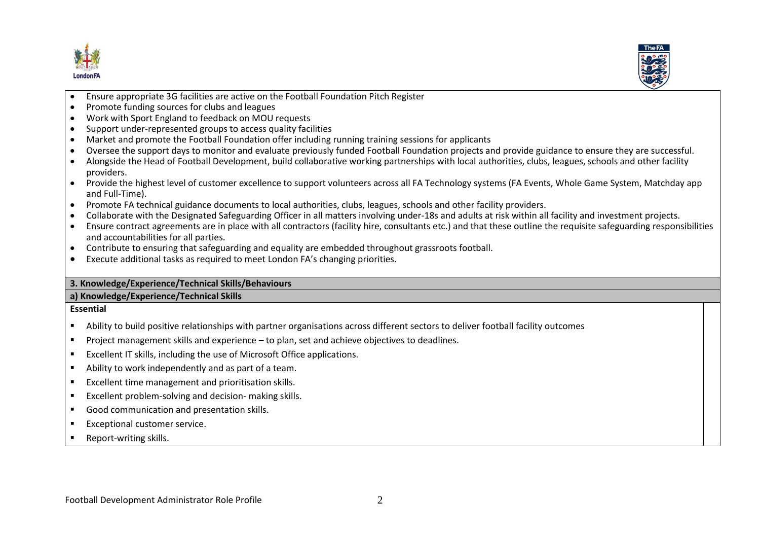



- $\overline{a}$ • Ensure appropriate 3G facilities are active on the Football Foundation Pitch Register
- Promote funding sources for clubs and leagues
- Work with Sport England to feedback on MOU requests
- Support under-represented groups to access quality facilities
- Market and promote the Football Foundation offer including running training sessions for applicants
- Oversee the support days to monitor and evaluate previously funded Football Foundation projects and provide guidance to ensure they are successful.
- Alongside the Head of Football Development, build collaborative working partnerships with local authorities, clubs, leagues, schools and other facility providers.
- Provide the highest level of customer excellence to support volunteers across all FA Technology systems (FA Events, Whole Game System, Matchday app and Full-Time).
- Promote FA technical guidance documents to local authorities, clubs, leagues, schools and other facility providers.
- Collaborate with the Designated Safeguarding Officer in all matters involving under-18s and adults at risk within all facility and investment projects.
- Ensure contract agreements are in place with all contractors (facility hire, consultants etc.) and that these outline the requisite safeguarding responsibilities and accountabilities for all parties.
- Contribute to ensuring that safeguarding and equality are embedded throughout grassroots football.
- Execute additional tasks as required to meet London FA's changing priorities.

## **3. Knowledge/Experience/Technical Skills/Behaviours**

### **a) Knowledge/Experience/Technical Skills**

## **Essential**

- Ability to build positive relationships with partner organisations across different sectors to deliver football facility outcomes
- Project management skills and experience to plan, set and achieve objectives to deadlines.
- Excellent IT skills, including the use of Microsoft Office applications.
- Ability to work independently and as part of a team.
- Excellent time management and prioritisation skills.
- Excellent problem-solving and decision- making skills.
- Good communication and presentation skills.
- Exceptional customer service.
- Report-writing skills.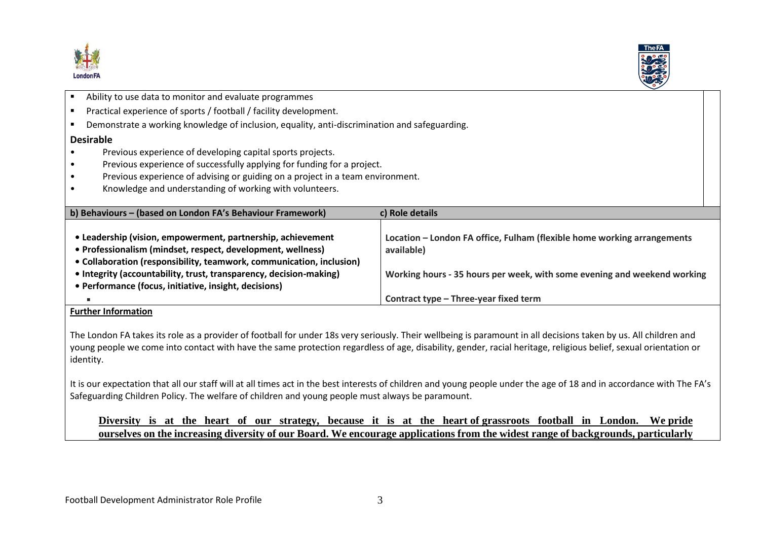

 $\overline{a}$ 



| Ability to use data to monitor and evaluate programmes                                                                                                                                                                                                                                                                            |                                                                                                                                                                   |  |  |  |
|-----------------------------------------------------------------------------------------------------------------------------------------------------------------------------------------------------------------------------------------------------------------------------------------------------------------------------------|-------------------------------------------------------------------------------------------------------------------------------------------------------------------|--|--|--|
| Practical experience of sports / football / facility development.                                                                                                                                                                                                                                                                 |                                                                                                                                                                   |  |  |  |
| Demonstrate a working knowledge of inclusion, equality, anti-discrimination and safeguarding.                                                                                                                                                                                                                                     |                                                                                                                                                                   |  |  |  |
| <b>Desirable</b>                                                                                                                                                                                                                                                                                                                  |                                                                                                                                                                   |  |  |  |
| Previous experience of developing capital sports projects.                                                                                                                                                                                                                                                                        |                                                                                                                                                                   |  |  |  |
| Previous experience of successfully applying for funding for a project.                                                                                                                                                                                                                                                           |                                                                                                                                                                   |  |  |  |
| Previous experience of advising or guiding on a project in a team environment.                                                                                                                                                                                                                                                    |                                                                                                                                                                   |  |  |  |
| Knowledge and understanding of working with volunteers.                                                                                                                                                                                                                                                                           |                                                                                                                                                                   |  |  |  |
|                                                                                                                                                                                                                                                                                                                                   |                                                                                                                                                                   |  |  |  |
| b) Behaviours - (based on London FA's Behaviour Framework)<br>c) Role details                                                                                                                                                                                                                                                     |                                                                                                                                                                   |  |  |  |
| • Leadership (vision, empowerment, partnership, achievement<br>• Professionalism (mindset, respect, development, wellness)<br>• Collaboration (responsibility, teamwork, communication, inclusion)<br>• Integrity (accountability, trust, transparency, decision-making)<br>• Performance (focus, initiative, insight, decisions) | Location – London FA office, Fulham (flexible home working arrangements<br>available)<br>Working hours - 35 hours per week, with some evening and weekend working |  |  |  |
|                                                                                                                                                                                                                                                                                                                                   | Contract type - Three-year fixed term                                                                                                                             |  |  |  |

#### **Further Information**

The London FA takes its role as a provider of football for under 18s very seriously. Their wellbeing is paramount in all decisions taken by us. All children and young people we come into contact with have the same protection regardless of age, disability, gender, racial heritage, religious belief, sexual orientation or identity.

It is our expectation that all our staff will at all times act in the best interests of children and young people under the age of 18 and in accordance with The FA's Safeguarding Children Policy. The welfare of children and young people must always be paramount.

**Diversity is at the heart of our strategy, because it is at the heart of grassroots football in London. We pride ourselves on the increasing diversity of our Board. We encourage applications from the widest range of backgrounds, particularly**